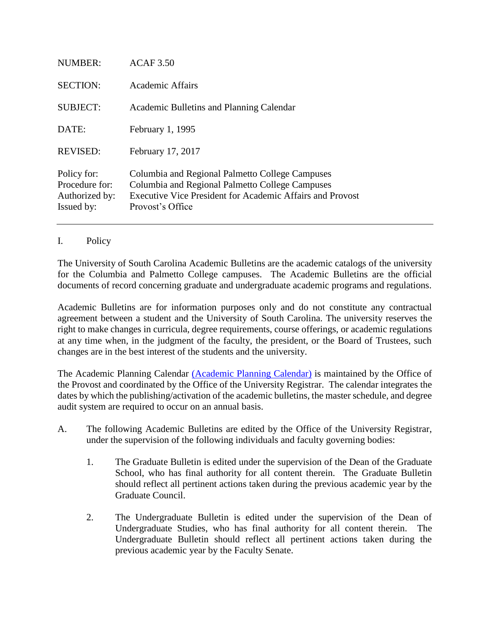| NUMBER:                                                       | ACAF 3.50                                                                                                                                                                           |
|---------------------------------------------------------------|-------------------------------------------------------------------------------------------------------------------------------------------------------------------------------------|
| <b>SECTION:</b>                                               | Academic Affairs                                                                                                                                                                    |
| <b>SUBJECT:</b>                                               | Academic Bulletins and Planning Calendar                                                                                                                                            |
| DATE:                                                         | February 1, 1995                                                                                                                                                                    |
| <b>REVISED:</b>                                               | February 17, 2017                                                                                                                                                                   |
| Policy for:<br>Procedure for:<br>Authorized by:<br>Issued by: | Columbia and Regional Palmetto College Campuses<br>Columbia and Regional Palmetto College Campuses<br>Executive Vice President for Academic Affairs and Provost<br>Provost's Office |

## I. Policy

The University of South Carolina Academic Bulletins are the academic catalogs of the university for the Columbia and Palmetto College campuses. The Academic Bulletins are the official documents of record concerning graduate and undergraduate academic programs and regulations.

Academic Bulletins are for information purposes only and do not constitute any contractual agreement between a student and the University of South Carolina. The university reserves the right to make changes in curricula, degree requirements, course offerings, or academic regulations at any time when, in the judgment of the faculty, the president, or the Board of Trustees, such changes are in the best interest of the students and the university.

The Academic Planning Calendar [\(Academic Planning Calendar\)](file://///COSSLAOTHELLO.DS.SC.EDU/DATA/Dept/Provost/Academic%20Policies/FY2015/Drafts/(Academic%20Planning%20Calendar) is maintained by the Office of the Provost and coordinated by the Office of the University Registrar. The calendar integrates the dates by which the publishing/activation of the academic bulletins, the master schedule, and degree audit system are required to occur on an annual basis.

- A. The following Academic Bulletins are edited by the Office of the University Registrar, under the supervision of the following individuals and faculty governing bodies:
	- 1. The Graduate Bulletin is edited under the supervision of the Dean of the Graduate School, who has final authority for all content therein. The Graduate Bulletin should reflect all pertinent actions taken during the previous academic year by the Graduate Council.
	- 2. The Undergraduate Bulletin is edited under the supervision of the Dean of Undergraduate Studies, who has final authority for all content therein. The Undergraduate Bulletin should reflect all pertinent actions taken during the previous academic year by the Faculty Senate.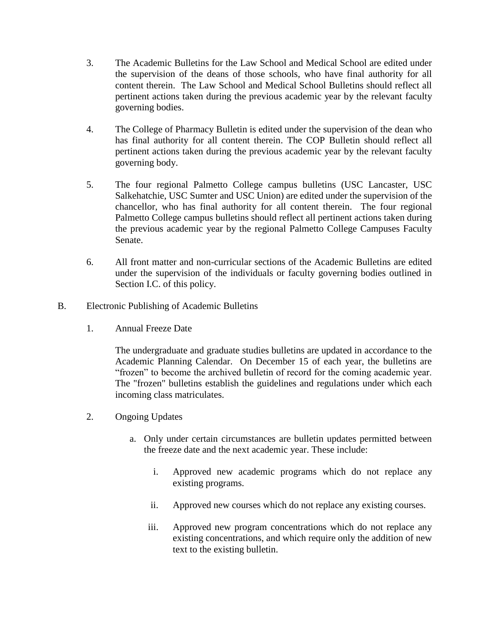- 3. The Academic Bulletins for the Law School and Medical School are edited under the supervision of the deans of those schools, who have final authority for all content therein. The Law School and Medical School Bulletins should reflect all pertinent actions taken during the previous academic year by the relevant faculty governing bodies.
- 4. The College of Pharmacy Bulletin is edited under the supervision of the dean who has final authority for all content therein. The COP Bulletin should reflect all pertinent actions taken during the previous academic year by the relevant faculty governing body.
- 5. The four regional Palmetto College campus bulletins (USC Lancaster, USC Salkehatchie, USC Sumter and USC Union) are edited under the supervision of the chancellor, who has final authority for all content therein. The four regional Palmetto College campus bulletins should reflect all pertinent actions taken during the previous academic year by the regional Palmetto College Campuses Faculty Senate.
- 6. All front matter and non-curricular sections of the Academic Bulletins are edited under the supervision of the individuals or faculty governing bodies outlined in Section I.C. of this policy.
- B. Electronic Publishing of Academic Bulletins
	- 1. Annual Freeze Date

The undergraduate and graduate studies bulletins are updated in accordance to the Academic Planning Calendar. On December 15 of each year, the bulletins are "frozen" to become the archived bulletin of record for the coming academic year. The "frozen" bulletins establish the guidelines and regulations under which each incoming class matriculates.

- 2. Ongoing Updates
	- a. Only under certain circumstances are bulletin updates permitted between the freeze date and the next academic year. These include:
		- i. Approved new academic programs which do not replace any existing programs.
		- ii. Approved new courses which do not replace any existing courses.
		- iii. Approved new program concentrations which do not replace any existing concentrations, and which require only the addition of new text to the existing bulletin.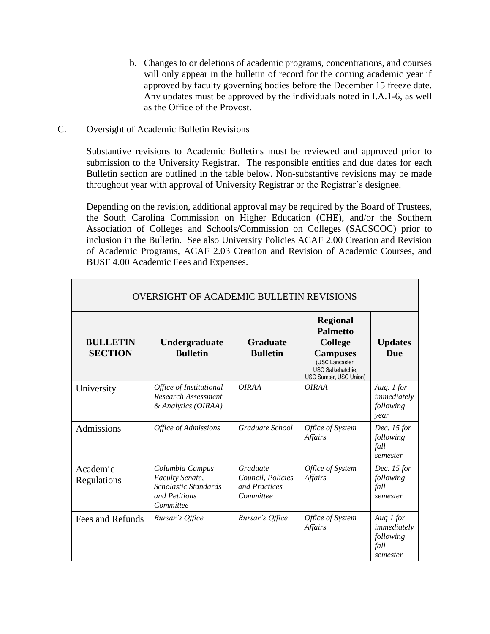- b. Changes to or deletions of academic programs, concentrations, and courses will only appear in the bulletin of record for the coming academic year if approved by faculty governing bodies before the December 15 freeze date. Any updates must be approved by the individuals noted in I.A.1-6, as well as the Office of the Provost.
- C. Oversight of Academic Bulletin Revisions

Substantive revisions to Academic Bulletins must be reviewed and approved prior to submission to the University Registrar. The responsible entities and due dates for each Bulletin section are outlined in the table below. Non-substantive revisions may be made throughout year with approval of University Registrar or the Registrar's designee.

Depending on the revision, additional approval may be required by the Board of Trustees, the South Carolina Commission on Higher Education (CHE), and/or the Southern Association of Colleges and Schools/Commission on Colleges (SACSCOC) prior to inclusion in the Bulletin. See also University Policies ACAF 2.00 Creation and Revision of Academic Programs, ACAF 2.03 Creation and Revision of Academic Courses, and BUSF 4.00 Academic Fees and Expenses.

| OVERSIGHT OF ACADEMIC BULLETIN REVISIONS |                                                                                                 |                                                             |                                                                                                                                                  |                                                           |  |  |
|------------------------------------------|-------------------------------------------------------------------------------------------------|-------------------------------------------------------------|--------------------------------------------------------------------------------------------------------------------------------------------------|-----------------------------------------------------------|--|--|
| <b>BULLETIN</b><br><b>SECTION</b>        | Undergraduate<br><b>Bulletin</b>                                                                | <b>Graduate</b><br><b>Bulletin</b>                          | <b>Regional</b><br><b>Palmetto</b><br><b>College</b><br><b>Campuses</b><br>(USC Lancaster,<br><b>USC Salkehatchie.</b><br>USC Sumter, USC Union) | <b>Updates</b><br><b>Due</b>                              |  |  |
| University                               | Office of Institutional<br>Research Assessment<br>& Analytics (OIRAA)                           | <b>OIRAA</b>                                                | <b>OIRAA</b>                                                                                                                                     | Aug. 1 for<br>immediately<br>following<br>year            |  |  |
| Admissions                               | Office of Admissions                                                                            | Graduate School                                             | Office of System<br>Affairs                                                                                                                      | Dec. 15 for<br>following<br>fall<br>semester              |  |  |
| Academic<br>Regulations                  | Columbia Campus<br><b>Faculty Senate,</b><br>Scholastic Standards<br>and Petitions<br>Committee | Graduate<br>Council, Policies<br>and Practices<br>Committee | Office of System<br><b>Affairs</b>                                                                                                               | Dec. 15 for<br>following<br>fall<br>semester              |  |  |
| Fees and Refunds                         | <b>Bursar's Office</b>                                                                          | <b>Bursar's Office</b>                                      | Office of System<br>Affairs                                                                                                                      | Aug 1 for<br>immediately<br>following<br>fall<br>semester |  |  |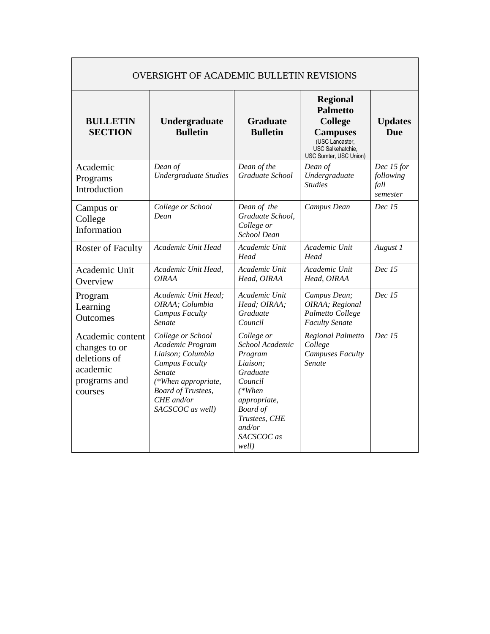| <b>OVERSIGHT OF ACADEMIC BULLETIN REVISIONS</b>                                          |                                                                                                                                                                                     |                                                                                                                                                                              |                                                                                                                                           |                                             |  |  |  |
|------------------------------------------------------------------------------------------|-------------------------------------------------------------------------------------------------------------------------------------------------------------------------------------|------------------------------------------------------------------------------------------------------------------------------------------------------------------------------|-------------------------------------------------------------------------------------------------------------------------------------------|---------------------------------------------|--|--|--|
| <b>BULLETIN</b><br><b>SECTION</b>                                                        | Undergraduate<br><b>Bulletin</b>                                                                                                                                                    | <b>Graduate</b><br><b>Bulletin</b>                                                                                                                                           | <b>Regional</b><br><b>Palmetto</b><br><b>College</b><br><b>Campuses</b><br>(USC Lancaster,<br>USC Salkehatchie.<br>USC Sumter, USC Union) | <b>Updates</b><br><b>Due</b>                |  |  |  |
| Academic<br>Programs<br>Introduction                                                     | Dean of<br><b>Undergraduate Studies</b>                                                                                                                                             | Dean of the<br>Graduate School                                                                                                                                               | Dean of<br>Undergraduate<br><b>Studies</b>                                                                                                | Dec 15 for<br>following<br>fall<br>semester |  |  |  |
| Campus or<br>College<br>Information                                                      | College or School<br>Dean                                                                                                                                                           | Dean of the<br>Graduate School,<br>College or<br><b>School Dean</b>                                                                                                          | Campus Dean                                                                                                                               | Dec 15                                      |  |  |  |
| <b>Roster of Faculty</b>                                                                 | Academic Unit Head                                                                                                                                                                  | Academic Unit<br>Head                                                                                                                                                        | Academic Unit<br>Head                                                                                                                     | August 1                                    |  |  |  |
| Academic Unit<br>Overview                                                                | Academic Unit Head.<br><i><b>OIRAA</b></i>                                                                                                                                          | Academic Unit<br>Head, OIRAA                                                                                                                                                 | Academic Unit<br>Head, OIRAA                                                                                                              | Dec~15                                      |  |  |  |
| Program<br>Learning<br>Outcomes                                                          | Academic Unit Head:<br>OIRAA; Columbia<br><b>Campus Faculty</b><br>Senate                                                                                                           | Academic Unit<br>Head; OIRAA;<br>Graduate<br>Council                                                                                                                         | Campus Dean;<br>OIRAA; Regional<br>Palmetto College<br><b>Faculty Senate</b>                                                              | Dec~15                                      |  |  |  |
| Academic content<br>changes to or<br>deletions of<br>academic<br>programs and<br>courses | College or School<br>Academic Program<br>Liaison; Columbia<br><b>Campus Faculty</b><br>Senate<br>(*When appropriate,<br><b>Board of Trustees,</b><br>CHE and/or<br>SACSCOC as well) | College or<br>School Academic<br>Program<br>Liaison;<br>Graduate<br>Council<br>$(*When$<br>appropriate,<br><b>Board</b> of<br>Trustees, CHE<br>and/or<br>SACSCOC as<br>well) | Regional Palmetto<br>College<br><b>Campuses Faculty</b><br>Senate                                                                         | Dec 15                                      |  |  |  |